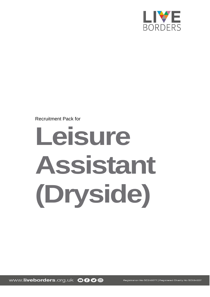

Recruitment Pack for

# **Leisure Assistant (Dryside)**

www.liveborders.org.uk OOOO

Registration No SC243577 | Registered Charity No SC034227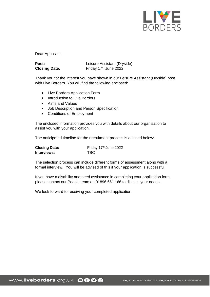

Dear Applicant

| Post:                | Leisure Assistant (Dryside)       |
|----------------------|-----------------------------------|
| <b>Closing Date:</b> | Friday 17 <sup>th</sup> June 2022 |

Thank you for the interest you have shown in our Leisure Assistant (Dryside) post with Live Borders. You will find the following enclosed:

- Live Borders Application Form
- Introduction to Live Borders
- Aims and Values
- Job Description and Person Specification
- Conditions of Employment

The enclosed information provides you with details about our organisation to assist you with your application.

The anticipated timeline for the recruitment process is outlined below:

| <b>Closing Date:</b> | Friday 17th June 2022 |
|----------------------|-----------------------|
| Interviews:          | <b>TBC</b>            |

The selection process can include different forms of assessment along with a formal interview. You will be advised of this if your application is successful.

If you have a disability and need assistance in completing your application form, please contact our People team on 01896 661 166 to discuss your needs.

We look forward to receiving your completed application.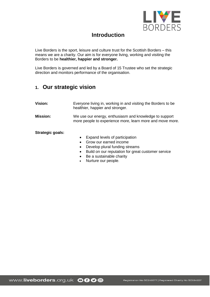

# **Introduction**

Live Borders is the sport, leisure and culture trust for the Scottish Borders – this means we are a charity. Our aim is for everyone living, working and visiting the Borders to be **healthier, happier and stronger.**

Live Borders is governed and led by a Board of 15 Trustee who set the strategic direction and monitors performance of the organisation.

# **1. Our strategic vision**

| <b>Vision:</b>   | Everyone living in, working in and visiting the Borders to be<br>healthier, happier and stronger.                   |
|------------------|---------------------------------------------------------------------------------------------------------------------|
| <b>Mission:</b>  | We use our energy, enthusiasm and knowledge to support<br>more people to experience more, learn more and move more. |
| Strategic goals: |                                                                                                                     |

- Expand levels of participation
- Grow our earned income
- Develop plural funding streams
- Build on our reputation for great customer service
- Be a sustainable charity
- Nurture our people.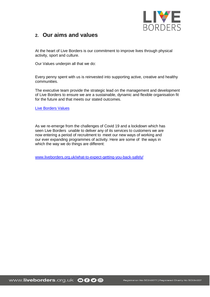

# **2. Our aims and values**

At the heart of Live Borders is our commitment to improve lives through physical activity, sport and culture.

Our Values underpin all that we do:

Every penny spent with us is reinvested into supporting active, creative and healthy communities.

The executive team provide the strategic lead on the management and development of Live Borders to ensure we are a sustainable, dynamic and flexible organisation fit for the future and that meets our stated outcomes.

Live Borders Values

As we re-emerge from the challenges of Covid 19 and a lockdown which has seen Live Borders unable to deliver any of its services to customers we are now entering a period of recruitment to meet our new ways of working and our ever expanding programmes of activity. Here are some of the ways in which the way we do things are different:

[www.liveborders.org.uk/what-to-expect-getting-you-back-safely/](http://www.liveborders.org.uk/what-to-expect-getting-you-back-safely/)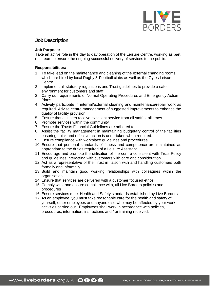

# **Job Description**

### **Job Purpose:**

Take an active role in the day to day operation of the Leisure Centre, working as part of a team to ensure the ongoing successful delivery of services to the public.

## **Responsibilities:**

- 1. To take lead on the maintenance and cleaning of the external changing rooms which are hired by local Rugby & Football clubs as well as the Gytes Leisure Centre.
- 2. Implement all-statutory regulations and Trust guidelines to provide a safe environment for customers and staff.
- 3. Carry out requirements of Normal Operating Procedures and Emergency Action Plans
- 4. Actively participate in internal/external cleaning and maintenance/repair work as required. Advise centre management of suggested improvements to enhance the quality of facility provision.
- 5. Ensure that all users receive excellent service from all staff at all times
- 6. Promote services within the community
- 7. Ensure the Trusts Financial Guidelines are adhered to
- 8. Assist the facility management in maintaining budgetary control of the facilities ensuring quick and effective action is undertaken when required.
- 9. Ensure compliance with workplace guidelines and procedures.
- 10. Ensure that personal standards of fitness and competence are maintained as appropriate to the duties required of a Leisure Assistant.
- 11. Encourage and promote the utilisation of the centre consistent with Trust Policy and guidelines interacting with customers with care and consideration.
- 12. Act as a representative of the Trust in liaison with and handling customers both formally and informally
- 13. Build and maintain good working relationships with colleagues within the organisation
- 14. Ensure that services are delivered with a customer focused ethos
- 15. Comply with, and ensure compliance with, all Live Borders policies and procedures
- 16. Ensure services meet Health and Safety standards established by Live Borders
- 17. As an employee, you must take reasonable care for the health and safety of yourself, other employees and anyone else who may be affected by your work activities carried out. Employees shall work in accordance with policies, procedures, information, instructions and / or training received.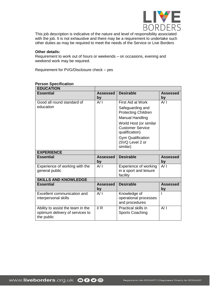

This job description is indicative of the nature and level of responsibility associated with the job. It is not exhaustive and there may be a requirement to undertake such other duties as may be required to meet the needs of the Service or Live Borders

#### **Other details:**

Requirement to work out of hours or weekends – on occasions, evening and weekend work may be required.

Requirement for PVG/Disclosure check – yes

| <b>EDUCATION</b>                                                                   |                         |                                                                     |                       |
|------------------------------------------------------------------------------------|-------------------------|---------------------------------------------------------------------|-----------------------|
| <b>Essential</b>                                                                   | Assessed<br>by          | <b>Desirable</b>                                                    | <b>Assessed</b><br>by |
| Good all round standard of                                                         | A/ I                    | First Aid at Work                                                   | A/I                   |
| education                                                                          |                         | Safeguarding and<br><b>Protecting Children</b>                      |                       |
|                                                                                    |                         | <b>Manual Handling</b>                                              |                       |
|                                                                                    |                         | World Host (or similar<br><b>Customer Service</b><br>qualification) |                       |
|                                                                                    |                         | <b>Gym Qualification</b><br>(SVQ Level 2 or<br>similar)             |                       |
| <b>EXPERIENCE</b>                                                                  |                         |                                                                     |                       |
| <b>Essential</b>                                                                   | Assessed<br>by          | <b>Desirable</b>                                                    | <b>Assessed</b><br>by |
| Experience of working with the                                                     | A/I                     | Experience of working                                               | A/I                   |
| general public                                                                     |                         | in a sport and leisure<br>facility                                  |                       |
| <b>SKILLS AND KNOWLEDGE</b>                                                        |                         |                                                                     |                       |
| <b>Essential</b>                                                                   | <b>Assessed</b><br>by   | <b>Desirable</b>                                                    | <b>Assessed</b><br>by |
| Excellent communication and<br>interpersonal skills                                | A/ I                    | Knowledge of<br>operational processes<br>and procedures             |                       |
| Ability to assist the team in the<br>optimum delivery of services to<br>the public | $\mathsf{I}/\mathsf{R}$ | Practical skills in<br><b>Sports Coaching</b>                       | A/I                   |

# **Person Specification**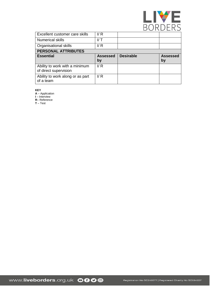

| Excellent customer care skills                          | $\mathsf{I/R}$  |                  |                 |
|---------------------------------------------------------|-----------------|------------------|-----------------|
| <b>Numerical skills</b>                                 | $V$ T           |                  |                 |
| Organisational skills                                   | $\mathsf{I/R}$  |                  |                 |
| <b>PERSONAL ATTRIBUTES</b>                              |                 |                  |                 |
| <b>Essential</b>                                        | <b>Assessed</b> | <b>Desirable</b> | <b>Assessed</b> |
|                                                         | by              |                  | by              |
| Ability to work with a minimum<br>of direct supervision | $\mathsf{I/R}$  |                  |                 |

**KEY**

**A** – Application

**I** – Interview

**R**– Reference

**T** – Test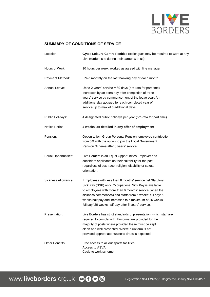

## **SUMMARY OF CONDITIONS OF SERVICE**

| Location:                   | Gytes Leisure Centre Peebles (colleagues may be required to work at any<br>Live Borders site during their career with us).                                                                                                                                                                                                                                  |
|-----------------------------|-------------------------------------------------------------------------------------------------------------------------------------------------------------------------------------------------------------------------------------------------------------------------------------------------------------------------------------------------------------|
| Hours of Work:              | 10 hours per week, worked as agreed with line manager                                                                                                                                                                                                                                                                                                       |
| Payment Method:             | Paid monthly on the last banking day of each month.                                                                                                                                                                                                                                                                                                         |
| Annual Leave:               | Up to 2 years' service $=$ 30 days (pro-rata for part time)<br>Increases by an extra day after completion of three<br>years' service by commencement of the leave year. An<br>additional day accrued for each completed year of<br>service up to max of 6 additional days.                                                                                  |
| Public Holidays:            | 4 designated public holidays per year (pro-rata for part time)                                                                                                                                                                                                                                                                                              |
| Notice Period:              | 4 weeks, as detailed in any offer of employment                                                                                                                                                                                                                                                                                                             |
| Pension:                    | Option to join Group Personal Pension; employee contribution<br>from 5% with the option to join the Local Government<br>Pension Scheme after 5 years' service.                                                                                                                                                                                              |
| <b>Equal Opportunities:</b> | Live Borders is an Equal Opportunities Employer and<br>considers applicants on their suitability for the post<br>regardless of sex, race, religion, disability or sexual<br>orientation.                                                                                                                                                                    |
| Sickness Allowance:         | Employees with less than 6 months' service get Statutory<br>Sick Pay (SSP) only. Occupational Sick Pay is available<br>to employees with more than 6 months' service (when the<br>sickness commences) and starts from 5 weeks' full pay/ 5<br>weeks half pay and increases to a maximum of 26 weeks'<br>full pay/ 26 weeks half pay after 5 years' service. |
| Presentation:               | Live Borders has strict standards of presentation; which staff are<br>required to comply with. Uniforms are provided for the<br>majority of posts where provided these must be kept<br>clean and well presented. Where a uniform is not<br>provided appropriate business dress is expected.                                                                 |
| Other Benefits:             | Free access to all our sports facilities<br>Access to ASVA<br>Cycle to work scheme                                                                                                                                                                                                                                                                          |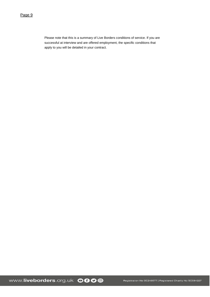Please note that this is a summary of Live Borders conditions of service. If you are successful at interview and are offered employment, the specific conditions that apply to you will be detailed in your contract.